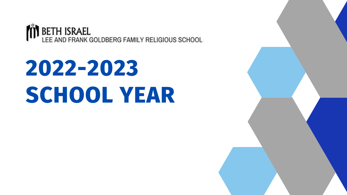

# **2022-2023 SCHOOL YEAR**

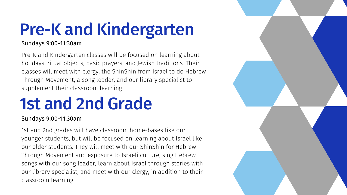# Pre-K and Kindergarten

#### Sundays 9:00-11:30am

Pre-K and Kindergarten classes will be focused on learning about holidays, ritual objects, basic prayers, and Jewish traditions. Their classes will meet with clergy, the ShinShin from Israel to do Hebrew Through Movement, a song leader, and our library specialist to supplement their classroom learning.

# 1st and 2nd Grade

#### Sundays 9:00-11:30am

1st and 2nd grades will have classroom home-bases like our younger students, but will be focused on learning about Israel like our older students. They will meet with our ShinShin for Hebrew Through Movement and exposure to Israeli culture, sing Hebrew songs with our song leader, learn about Israel through stories with our library specialist, and meet with our clergy, in addition to their classroom learning.

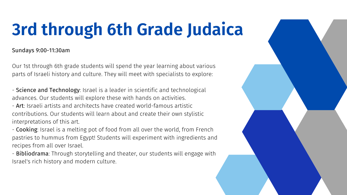Sundays 9:00-11:30am

Our 1st through 6th grade students will spend the year learning about various parts of Israeli history and culture. They will meet with specialists to explore:

- Science and Technology: Israel is a leader in scientific and technological advances. Our students will explore these with hands on activities.

- Bibliodrama: Through storytelling and theater, our students will engage with Israel's rich history and modern culture.



- Art: Israeli artists and architects have created world-famous artistic contributions. Our students will learn about and create their own stylistic interpretations of this art.

- Cooking: Israel is a melting pot of food from all over the world, from French pastries to hummus from Egypt! Students will experiment with ingredients and recipes from all over Israel.

# **3rd through 6th Grade Judaica**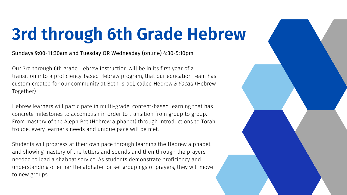#### Sundays 9:00-11:30am and Tuesday OR Wednesday (online) 4:30-5:10pm

Our 3rd through 6th grade Hebrew instruction will be in its first year of a transition into a proficiency-based Hebrew program, that our education team has custom created for our community at Beth Israel, called Hebrew *B'Yacad* (Hebrew Together).

Hebrew learners will participate in multi-grade, content-based learning that has concrete milestones to accomplish in order to transition from group to group. From mastery of the Aleph Bet (Hebrew alphabet) through introductions to Torah troupe, every learner's needs and unique pace will be met.

Students will progress at their own pace through learning the Hebrew alphabet and showing mastery of the letters and sounds and then through the prayers needed to lead a shabbat service. As students demonstrate proficiency and understanding of either the alphabet or set groupings of prayers, they will move to new groups.



# **3rd through 6th Grade Hebrew**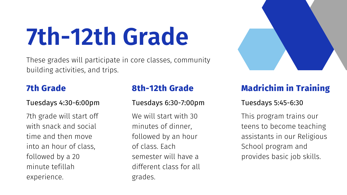### Tuesdays 4:30-6:00pm

7th grade will start off with snack and social time and then move into an hour of class, followed by a 20 minute tefillah experience.

We will start with 30 minutes of dinner, followed by an hour of class. Each semester will have a different class for all grades.



# **7th Grade**

### Tuesdays 6:30-7:00pm

# **8th-12th Grade**

### Tuesdays 5:45-6:30

This program trains our teens to become teaching assistants in our Religious School program and provides basic job skills.

# **Madrichim in Training**

**7th-12th Grade**

These grades will participate in core classes, community building activities, and trips.